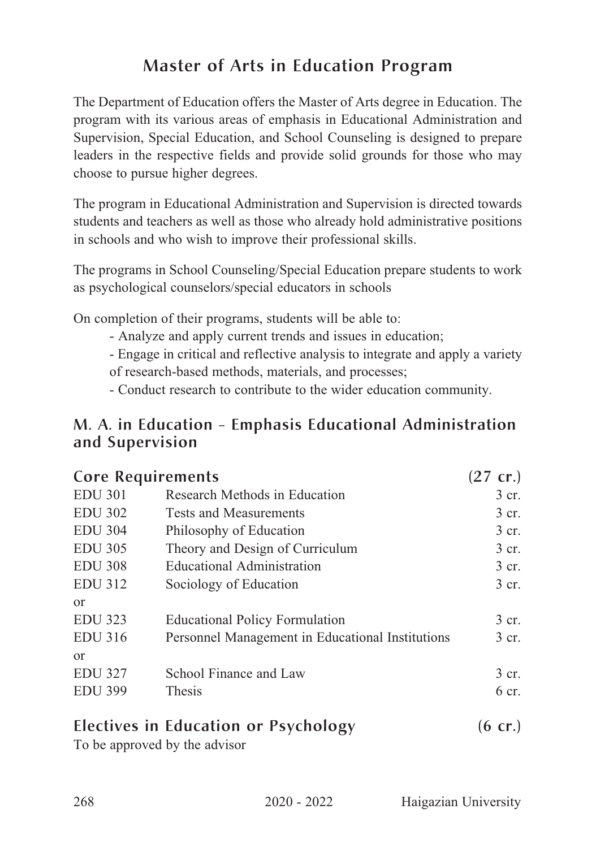## Master of Arts in Education Program

The Department of Education offers the Master of Arts degree in Education. The program with its various areas of emphasis in Educational Administration and Supervision, Special Education, and School Counseling is designed to prepare leaders in the respective fields and provide solid grounds for those who may choose to pursue higher degrees.

The program in Educational Administration and Supervision is directed towards students and teachers as well as those who already hold administrative positions in schools and who wish to improve their professional skills.

The programs in School Counseling/Special Education prepare students to work as psychological counselors/special educators in schools

On completion of their programs, students will be able to:

- Analyze and apply current trends and issues in education;

- Engage in critical and reflective analysis to integrate and apply a variety of research-based methods, materials, and processes;

- Conduct research to contribute to the wider education community.

#### M. A. in Education - Emphasis Educational Administration and Supervision

| <b>Core Requirements</b> |                                                  | $(27 \text{ cr.})$ |
|--------------------------|--------------------------------------------------|--------------------|
| <b>EDU 301</b>           | Research Methods in Education                    | 3 cr.              |
| <b>EDU 302</b>           | Tests and Measurements                           | 3 cr.              |
| <b>EDU 304</b>           | Philosophy of Education                          | 3 cr.              |
| <b>EDU 305</b>           | Theory and Design of Curriculum                  | 3 cr.              |
| <b>EDU 308</b>           | <b>Educational Administration</b>                | 3 cr.              |
| <b>EDU 312</b>           | Sociology of Education                           | 3 cr.              |
| $\alpha$                 |                                                  |                    |
| <b>EDU 323</b>           | <b>Educational Policy Formulation</b>            | 3 cr.              |
| <b>EDU 316</b>           | Personnel Management in Educational Institutions | 3 cr.              |
| $\alpha$                 |                                                  |                    |
| <b>EDU 327</b>           | School Finance and Law                           | 3 cr.              |
| <b>EDU 399</b>           | <b>Thesis</b>                                    | $6 \text{ cr}$ .   |
|                          |                                                  |                    |

# Electives in Education or Psychology (6 cr.)

To be approved by the advisor